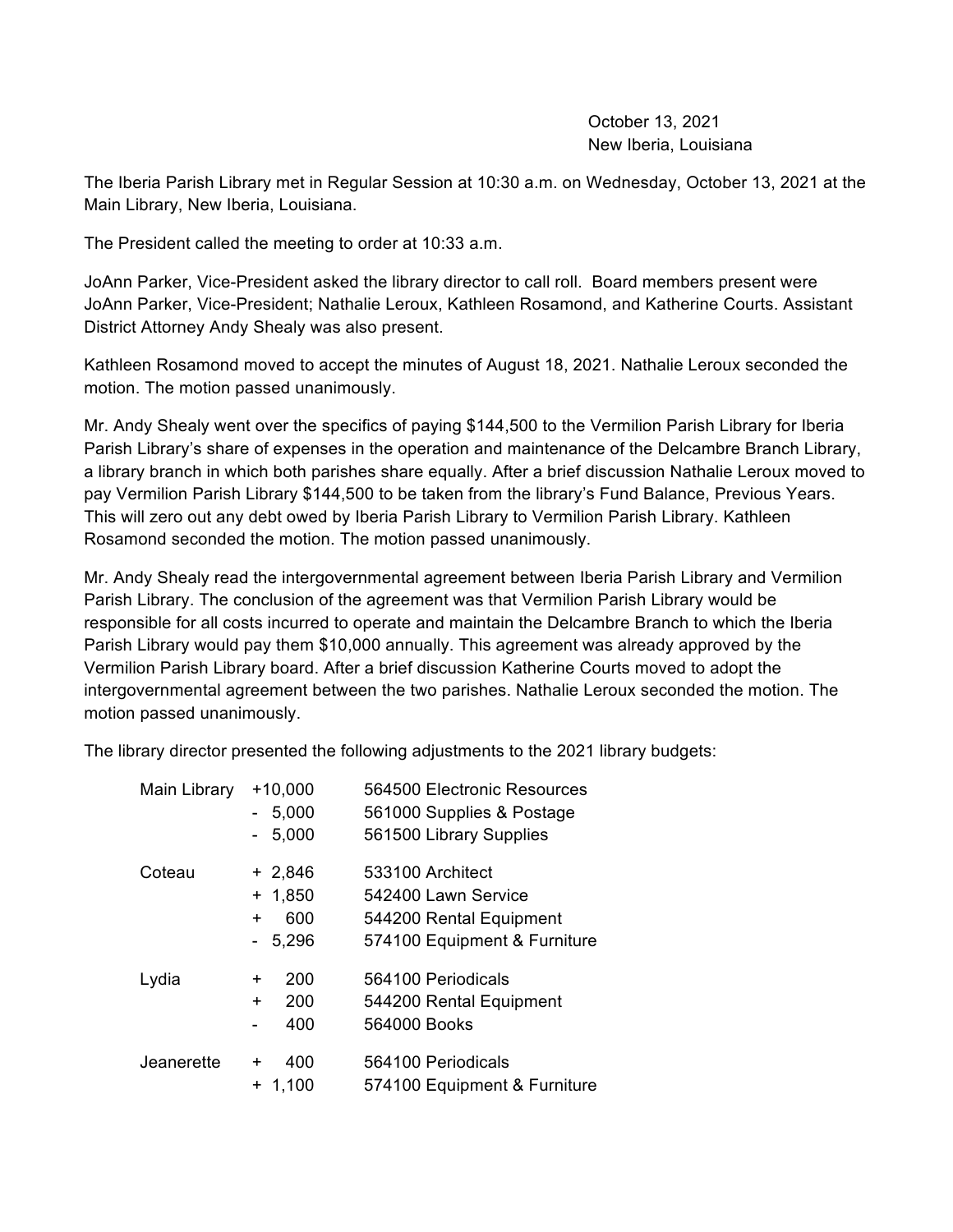October 13, 2021 New Iberia, Louisiana

The Iberia Parish Library met in Regular Session at 10:30 a.m. on Wednesday, October 13, 2021 at the Main Library, New Iberia, Louisiana.

The President called the meeting to order at 10:33 a.m.

JoAnn Parker, Vice-President asked the library director to call roll. Board members present were JoAnn Parker, Vice-President; Nathalie Leroux, Kathleen Rosamond, and Katherine Courts. Assistant District Attorney Andy Shealy was also present.

Kathleen Rosamond moved to accept the minutes of August 18, 2021. Nathalie Leroux seconded the motion. The motion passed unanimously.

Mr. Andy Shealy went over the specifics of paying \$144,500 to the Vermilion Parish Library for Iberia Parish Library's share of expenses in the operation and maintenance of the Delcambre Branch Library, a library branch in which both parishes share equally. After a brief discussion Nathalie Leroux moved to pay Vermilion Parish Library \$144,500 to be taken from the library's Fund Balance, Previous Years. This will zero out any debt owed by Iberia Parish Library to Vermilion Parish Library. Kathleen Rosamond seconded the motion. The motion passed unanimously.

Mr. Andy Shealy read the intergovernmental agreement between Iberia Parish Library and Vermilion Parish Library. The conclusion of the agreement was that Vermilion Parish Library would be responsible for all costs incurred to operate and maintain the Delcambre Branch to which the Iberia Parish Library would pay them \$10,000 annually. This agreement was already approved by the Vermilion Parish Library board. After a brief discussion Katherine Courts moved to adopt the intergovernmental agreement between the two parishes. Nathalie Leroux seconded the motion. The motion passed unanimously.

The library director presented the following adjustments to the 2021 library budgets:

| Main Library | $+10,000$        | 564500 Electronic Resources  |
|--------------|------------------|------------------------------|
|              | 5,000            | 561000 Supplies & Postage    |
|              | 5,000            | 561500 Library Supplies      |
| Coteau       | $+2,846$         | 533100 Architect             |
|              | $+ 1,850$        | 542400 Lawn Service          |
|              | 600<br>$\pm$     | 544200 Rental Equipment      |
|              | 5,296            | 574100 Equipment & Furniture |
| Lydia        | 200<br>$\ddot{}$ | 564100 Periodicals           |
|              | 200<br>$\ddot{}$ | 544200 Rental Equipment      |
|              | 400              | 564000 Books                 |
| Jeanerette   | 400<br>$\pm$     | 564100 Periodicals           |
|              | $+ 1,100$        | 574100 Equipment & Furniture |